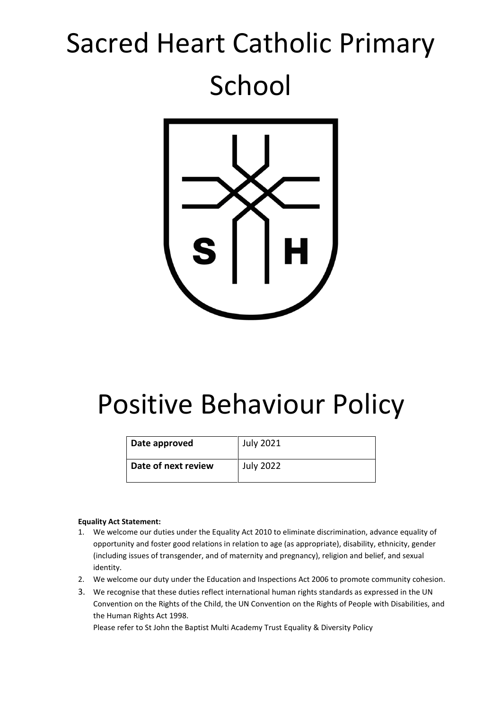# Sacred Heart Catholic Primary School



# Positive Behaviour Policy

| Date approved       | July 2021        |
|---------------------|------------------|
| Date of next review | <b>July 2022</b> |

#### **Equality Act Statement:**

- 1. We welcome our duties under the Equality Act 2010 to eliminate discrimination, advance equality of opportunity and foster good relations in relation to age (as appropriate), disability, ethnicity, gender (including issues of transgender, and of maternity and pregnancy), religion and belief, and sexual identity.
- 2. We welcome our duty under the Education and Inspections Act 2006 to promote community cohesion.
- 3. We recognise that these duties reflect international human rights standards as expressed in the UN Convention on the Rights of the Child, the UN Convention on the Rights of People with Disabilities, and the Human Rights Act 1998.

Please refer to St John the Baptist Multi Academy Trust Equality & Diversity Policy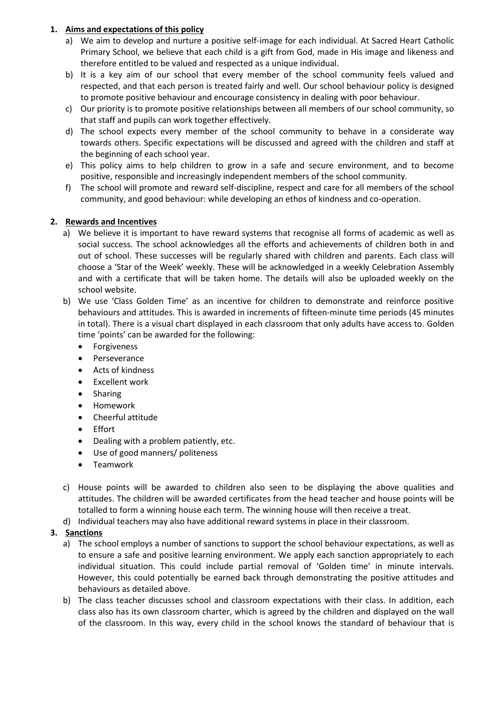# **1. Aims and expectations of this policy**

- a) We aim to develop and nurture a positive self-image for each individual. At Sacred Heart Catholic Primary School, we believe that each child is a gift from God, made in His image and likeness and therefore entitled to be valued and respected as a unique individual.
- b) It is a key aim of our school that every member of the school community feels valued and respected, and that each person is treated fairly and well. Our school behaviour policy is designed to promote positive behaviour and encourage consistency in dealing with poor behaviour.
- c) Our priority is to promote positive relationships between all members of our school community, so that staff and pupils can work together effectively.
- d) The school expects every member of the school community to behave in a considerate way towards others. Specific expectations will be discussed and agreed with the children and staff at the beginning of each school year.
- e) This policy aims to help children to grow in a safe and secure environment, and to become positive, responsible and increasingly independent members of the school community.
- f) The school will promote and reward self-discipline, respect and care for all members of the school community, and good behaviour: while developing an ethos of kindness and co-operation.

# **2. Rewards and Incentives**

- a) We believe it is important to have reward systems that recognise all forms of academic as well as social success. The school acknowledges all the efforts and achievements of children both in and out of school. These successes will be regularly shared with children and parents. Each class will choose a 'Star of the Week' weekly. These will be acknowledged in a weekly Celebration Assembly and with a certificate that will be taken home. The details will also be uploaded weekly on the school website.
- b) We use 'Class Golden Time' as an incentive for children to demonstrate and reinforce positive behaviours and attitudes. This is awarded in increments of fifteen-minute time periods (45 minutes in total). There is a visual chart displayed in each classroom that only adults have access to. Golden time 'points' can be awarded for the following:
	- **•** Forgiveness
	- Perseverance
	- Acts of kindness
	- Excellent work
	- Sharing
	- Homework
	- Cheerful attitude
	- Effort
	- Dealing with a problem patiently, etc.
	- Use of good manners/ politeness
	- **•** Teamwork
- c) House points will be awarded to children also seen to be displaying the above qualities and attitudes. The children will be awarded certificates from the head teacher and house points will be totalled to form a winning house each term. The winning house will then receive a treat.
- d) Individual teachers may also have additional reward systems in place in their classroom.

# **3. Sanctions**

- a) The school employs a number of sanctions to support the school behaviour expectations, as well as to ensure a safe and positive learning environment. We apply each sanction appropriately to each individual situation. This could include partial removal of 'Golden time' in minute intervals. However, this could potentially be earned back through demonstrating the positive attitudes and behaviours as detailed above.
- b) The class teacher discusses school and classroom expectations with their class. In addition, each class also has its own classroom charter, which is agreed by the children and displayed on the wall of the classroom. In this way, every child in the school knows the standard of behaviour that is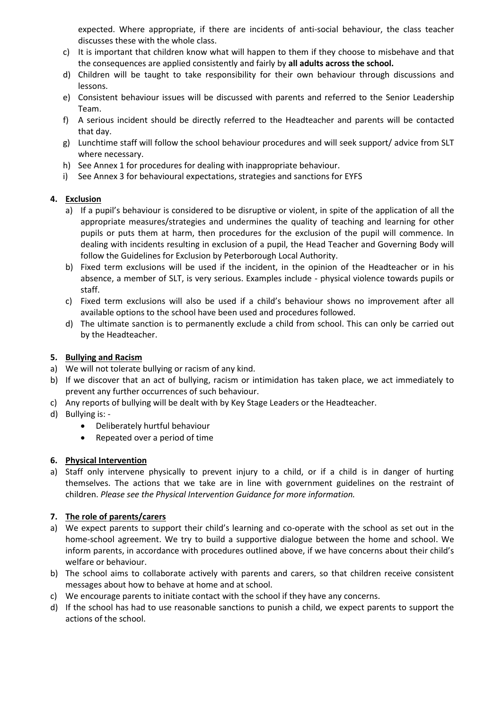expected. Where appropriate, if there are incidents of anti-social behaviour, the class teacher discusses these with the whole class.

- c) It is important that children know what will happen to them if they choose to misbehave and that the consequences are applied consistently and fairly by **all adults across the school.**
- d) Children will be taught to take responsibility for their own behaviour through discussions and lessons.
- e) Consistent behaviour issues will be discussed with parents and referred to the Senior Leadership Team.
- f) A serious incident should be directly referred to the Headteacher and parents will be contacted that day.
- g) Lunchtime staff will follow the school behaviour procedures and will seek support/ advice from SLT where necessary.
- h) See Annex 1 for procedures for dealing with inappropriate behaviour.
- i) See Annex 3 for behavioural expectations, strategies and sanctions for EYFS

# **4. Exclusion**

- a) If a pupil's behaviour is considered to be disruptive or violent, in spite of the application of all the appropriate measures/strategies and undermines the quality of teaching and learning for other pupils or puts them at harm, then procedures for the exclusion of the pupil will commence. In dealing with incidents resulting in exclusion of a pupil, the Head Teacher and Governing Body will follow the Guidelines for Exclusion by Peterborough Local Authority.
- b) Fixed term exclusions will be used if the incident, in the opinion of the Headteacher or in his absence, a member of SLT, is very serious. Examples include - physical violence towards pupils or staff.
- c) Fixed term exclusions will also be used if a child's behaviour shows no improvement after all available options to the school have been used and procedures followed.
- d) The ultimate sanction is to permanently exclude a child from school. This can only be carried out by the Headteacher.

# **5. Bullying and Racism**

- a) We will not tolerate bullying or racism of any kind.
- b) If we discover that an act of bullying, racism or intimidation has taken place, we act immediately to prevent any further occurrences of such behaviour.
- c) Any reports of bullying will be dealt with by Key Stage Leaders or the Headteacher.
- d) Bullying is:
	- Deliberately hurtful behaviour
	- Repeated over a period of time

# **6. Physical Intervention**

a) Staff only intervene physically to prevent injury to a child, or if a child is in danger of hurting themselves. The actions that we take are in line with government guidelines on the restraint of children. *Please see the Physical Intervention Guidance for more information.*

# **7. The role of parents/carers**

- a) We expect parents to support their child's learning and co-operate with the school as set out in the home-school agreement. We try to build a supportive dialogue between the home and school. We inform parents, in accordance with procedures outlined above, if we have concerns about their child's welfare or behaviour.
- b) The school aims to collaborate actively with parents and carers, so that children receive consistent messages about how to behave at home and at school.
- c) We encourage parents to initiate contact with the school if they have any concerns.
- d) If the school has had to use reasonable sanctions to punish a child, we expect parents to support the actions of the school.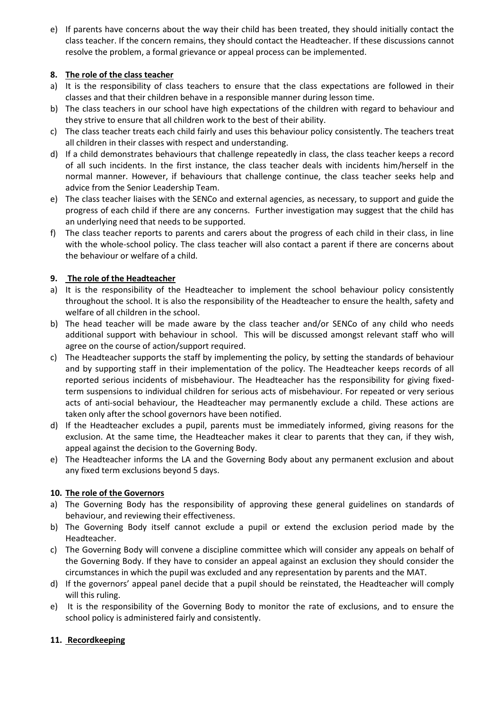e) If parents have concerns about the way their child has been treated, they should initially contact the class teacher. If the concern remains, they should contact the Headteacher. If these discussions cannot resolve the problem, a formal grievance or appeal process can be implemented.

# **8. The role of the class teacher**

- a) It is the responsibility of class teachers to ensure that the class expectations are followed in their classes and that their children behave in a responsible manner during lesson time.
- b) The class teachers in our school have high expectations of the children with regard to behaviour and they strive to ensure that all children work to the best of their ability.
- c) The class teacher treats each child fairly and uses this behaviour policy consistently. The teachers treat all children in their classes with respect and understanding.
- d) If a child demonstrates behaviours that challenge repeatedly in class, the class teacher keeps a record of all such incidents. In the first instance, the class teacher deals with incidents him/herself in the normal manner. However, if behaviours that challenge continue, the class teacher seeks help and advice from the Senior Leadership Team.
- e) The class teacher liaises with the SENCo and external agencies, as necessary, to support and guide the progress of each child if there are any concerns. Further investigation may suggest that the child has an underlying need that needs to be supported.
- f) The class teacher reports to parents and carers about the progress of each child in their class, in line with the whole-school policy. The class teacher will also contact a parent if there are concerns about the behaviour or welfare of a child.

# **9. The role of the Headteacher**

- a) It is the responsibility of the Headteacher to implement the school behaviour policy consistently throughout the school. It is also the responsibility of the Headteacher to ensure the health, safety and welfare of all children in the school.
- b) The head teacher will be made aware by the class teacher and/or SENCo of any child who needs additional support with behaviour in school. This will be discussed amongst relevant staff who will agree on the course of action/support required.
- c) The Headteacher supports the staff by implementing the policy, by setting the standards of behaviour and by supporting staff in their implementation of the policy. The Headteacher keeps records of all reported serious incidents of misbehaviour. The Headteacher has the responsibility for giving fixedterm suspensions to individual children for serious acts of misbehaviour. For repeated or very serious acts of anti-social behaviour, the Headteacher may permanently exclude a child. These actions are taken only after the school governors have been notified.
- d) If the Headteacher excludes a pupil, parents must be immediately informed, giving reasons for the exclusion. At the same time, the Headteacher makes it clear to parents that they can, if they wish, appeal against the decision to the Governing Body.
- e) The Headteacher informs the LA and the Governing Body about any permanent exclusion and about any fixed term exclusions beyond 5 days.

# **10. The role of the Governors**

- a) The Governing Body has the responsibility of approving these general guidelines on standards of behaviour, and reviewing their effectiveness.
- b) The Governing Body itself cannot exclude a pupil or extend the exclusion period made by the Headteacher.
- c) The Governing Body will convene a discipline committee which will consider any appeals on behalf of the Governing Body. If they have to consider an appeal against an exclusion they should consider the circumstances in which the pupil was excluded and any representation by parents and the MAT.
- d) If the governors' appeal panel decide that a pupil should be reinstated, the Headteacher will comply will this ruling.
- e) It is the responsibility of the Governing Body to monitor the rate of exclusions, and to ensure the school policy is administered fairly and consistently.

# **11. Recordkeeping**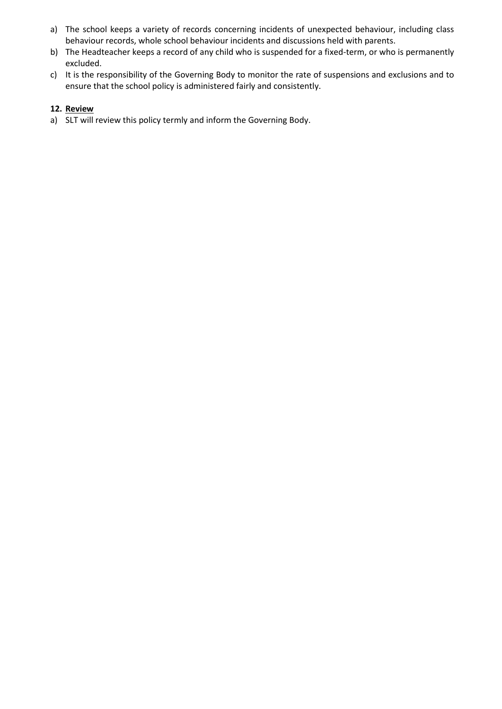- a) The school keeps a variety of records concerning incidents of unexpected behaviour, including class behaviour records, whole school behaviour incidents and discussions held with parents.
- b) The Headteacher keeps a record of any child who is suspended for a fixed-term, or who is permanently excluded.
- c) It is the responsibility of the Governing Body to monitor the rate of suspensions and exclusions and to ensure that the school policy is administered fairly and consistently.

#### **12. Review**

a) SLT will review this policy termly and inform the Governing Body.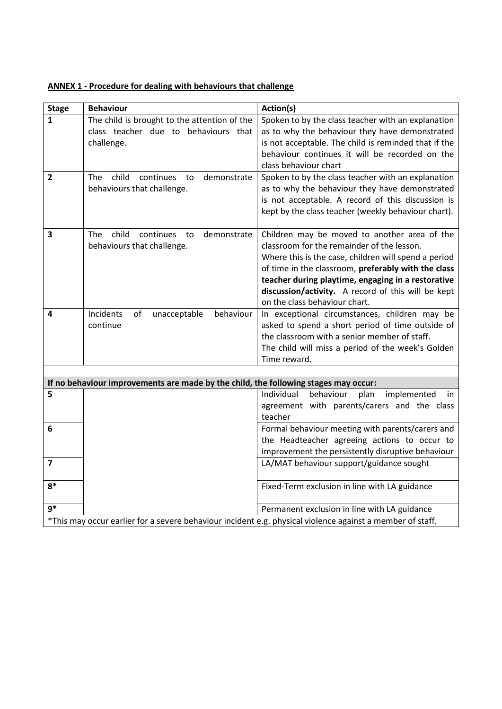| ANNEX 1 - Procedure for dealing with behaviours that challenge |
|----------------------------------------------------------------|
|----------------------------------------------------------------|

| <b>Stage</b>            | <b>Behaviour</b>                                                                    | Action(s)                                                                                                 |
|-------------------------|-------------------------------------------------------------------------------------|-----------------------------------------------------------------------------------------------------------|
| $\mathbf{1}$            | The child is brought to the attention of the                                        | Spoken to by the class teacher with an explanation                                                        |
|                         | class teacher due to behaviours that                                                | as to why the behaviour they have demonstrated                                                            |
|                         | challenge.                                                                          | is not acceptable. The child is reminded that if the                                                      |
|                         |                                                                                     | behaviour continues it will be recorded on the                                                            |
|                         |                                                                                     | class behaviour chart                                                                                     |
| $\overline{2}$          | child<br>The<br>continues<br>demonstrate<br>to                                      | Spoken to by the class teacher with an explanation                                                        |
|                         | behaviours that challenge.                                                          | as to why the behaviour they have demonstrated                                                            |
|                         |                                                                                     | is not acceptable. A record of this discussion is                                                         |
|                         |                                                                                     | kept by the class teacher (weekly behaviour chart).                                                       |
|                         |                                                                                     |                                                                                                           |
| 3                       | child<br>The<br>continues<br>demonstrate<br>to                                      | Children may be moved to another area of the<br>classroom for the remainder of the lesson.                |
|                         | behaviours that challenge.                                                          | Where this is the case, children will spend a period                                                      |
|                         |                                                                                     | of time in the classroom, preferably with the class                                                       |
|                         |                                                                                     | teacher during playtime, engaging in a restorative                                                        |
|                         |                                                                                     | discussion/activity. A record of this will be kept                                                        |
|                         |                                                                                     | on the class behaviour chart.                                                                             |
| 4                       | Incidents<br>of<br>unacceptable<br>behaviour                                        | In exceptional circumstances, children may be                                                             |
|                         | continue                                                                            | asked to spend a short period of time outside of                                                          |
|                         |                                                                                     | the classroom with a senior member of staff.                                                              |
|                         |                                                                                     | The child will miss a period of the week's Golden                                                         |
|                         |                                                                                     | Time reward.                                                                                              |
|                         |                                                                                     |                                                                                                           |
|                         | If no behaviour improvements are made by the child, the following stages may occur: |                                                                                                           |
| 5                       |                                                                                     | behaviour<br>implemented<br>Individual<br>plan<br>in                                                      |
|                         |                                                                                     | agreement with parents/carers and the class                                                               |
|                         |                                                                                     | teacher                                                                                                   |
| 6                       |                                                                                     | Formal behaviour meeting with parents/carers and                                                          |
|                         |                                                                                     | the Headteacher agreeing actions to occur to<br>improvement the persistently disruptive behaviour         |
| $\overline{\mathbf{z}}$ |                                                                                     | LA/MAT behaviour support/guidance sought                                                                  |
|                         |                                                                                     |                                                                                                           |
| $8*$                    |                                                                                     | Fixed-Term exclusion in line with LA guidance                                                             |
|                         |                                                                                     |                                                                                                           |
| $9*$                    |                                                                                     | Permanent exclusion in line with LA guidance                                                              |
|                         |                                                                                     | *This may occur earlier for a severe behaviour incident e.g. physical violence against a member of staff. |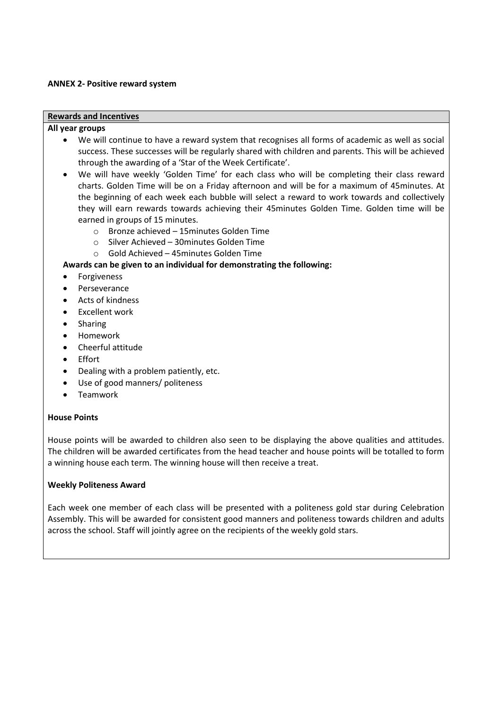#### **ANNEX 2- Positive reward system**

#### **Rewards and Incentives**

#### **All year groups**

- We will continue to have a reward system that recognises all forms of academic as well as social success. These successes will be regularly shared with children and parents. This will be achieved through the awarding of a 'Star of the Week Certificate'.
- We will have weekly 'Golden Time' for each class who will be completing their class reward charts. Golden Time will be on a Friday afternoon and will be for a maximum of 45minutes. At the beginning of each week each bubble will select a reward to work towards and collectively they will earn rewards towards achieving their 45minutes Golden Time. Golden time will be earned in groups of 15 minutes.
	- o Bronze achieved 15minutes Golden Time
	- o Silver Achieved 30minutes Golden Time
	- o Gold Achieved 45minutes Golden Time

#### **Awards can be given to an individual for demonstrating the following:**

- **•** Forgiveness
- Perseverance
- Acts of kindness
- Excellent work
- Sharing
- Homework
- Cheerful attitude
- Effort
- Dealing with a problem patiently, etc.
- Use of good manners/ politeness
- Teamwork

#### **House Points**

House points will be awarded to children also seen to be displaying the above qualities and attitudes. The children will be awarded certificates from the head teacher and house points will be totalled to form a winning house each term. The winning house will then receive a treat.

#### **Weekly Politeness Award**

Each week one member of each class will be presented with a politeness gold star during Celebration Assembly. This will be awarded for consistent good manners and politeness towards children and adults across the school. Staff will jointly agree on the recipients of the weekly gold stars.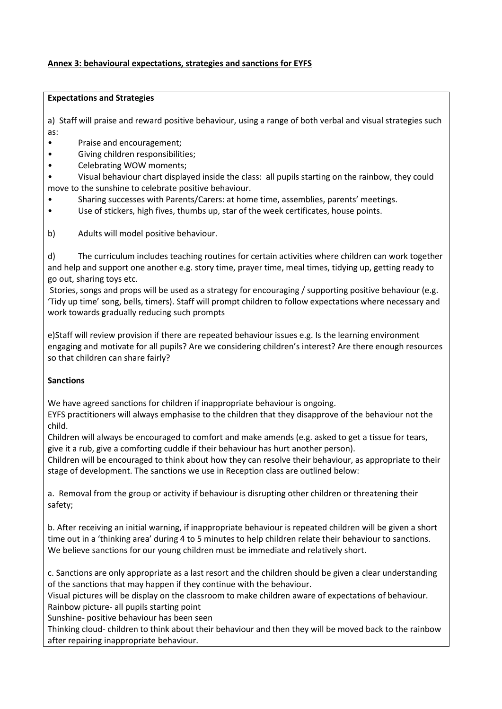# **Annex 3: behavioural expectations, strategies and sanctions for EYFS**

#### **Expectations and Strategies**

a) Staff will praise and reward positive behaviour, using a range of both verbal and visual strategies such as:

- Praise and encouragement;
- Giving children responsibilities;
- Celebrating WOW moments;

• Visual behaviour chart displayed inside the class: all pupils starting on the rainbow, they could move to the sunshine to celebrate positive behaviour.

- Sharing successes with Parents/Carers: at home time, assemblies, parents' meetings.
- Use of stickers, high fives, thumbs up, star of the week certificates, house points.

b) Adults will model positive behaviour.

d) The curriculum includes teaching routines for certain activities where children can work together and help and support one another e.g. story time, prayer time, meal times, tidying up, getting ready to go out, sharing toys etc.

Stories, songs and props will be used as a strategy for encouraging / supporting positive behaviour (e.g. 'Tidy up time' song, bells, timers). Staff will prompt children to follow expectations where necessary and work towards gradually reducing such prompts

e)Staff will review provision if there are repeated behaviour issues e.g. Is the learning environment engaging and motivate for all pupils? Are we considering children's interest? Are there enough resources so that children can share fairly?

# **Sanctions**

We have agreed sanctions for children if inappropriate behaviour is ongoing.

EYFS practitioners will always emphasise to the children that they disapprove of the behaviour not the child.

Children will always be encouraged to comfort and make amends (e.g. asked to get a tissue for tears, give it a rub, give a comforting cuddle if their behaviour has hurt another person).

Children will be encouraged to think about how they can resolve their behaviour, as appropriate to their stage of development. The sanctions we use in Reception class are outlined below:

a. Removal from the group or activity if behaviour is disrupting other children or threatening their safety;

b. After receiving an initial warning, if inappropriate behaviour is repeated children will be given a short time out in a 'thinking area' during 4 to 5 minutes to help children relate their behaviour to sanctions. We believe sanctions for our young children must be immediate and relatively short.

c. Sanctions are only appropriate as a last resort and the children should be given a clear understanding of the sanctions that may happen if they continue with the behaviour.

Visual pictures will be display on the classroom to make children aware of expectations of behaviour. Rainbow picture- all pupils starting point

Sunshine- positive behaviour has been seen

Thinking cloud- children to think about their behaviour and then they will be moved back to the rainbow after repairing inappropriate behaviour.